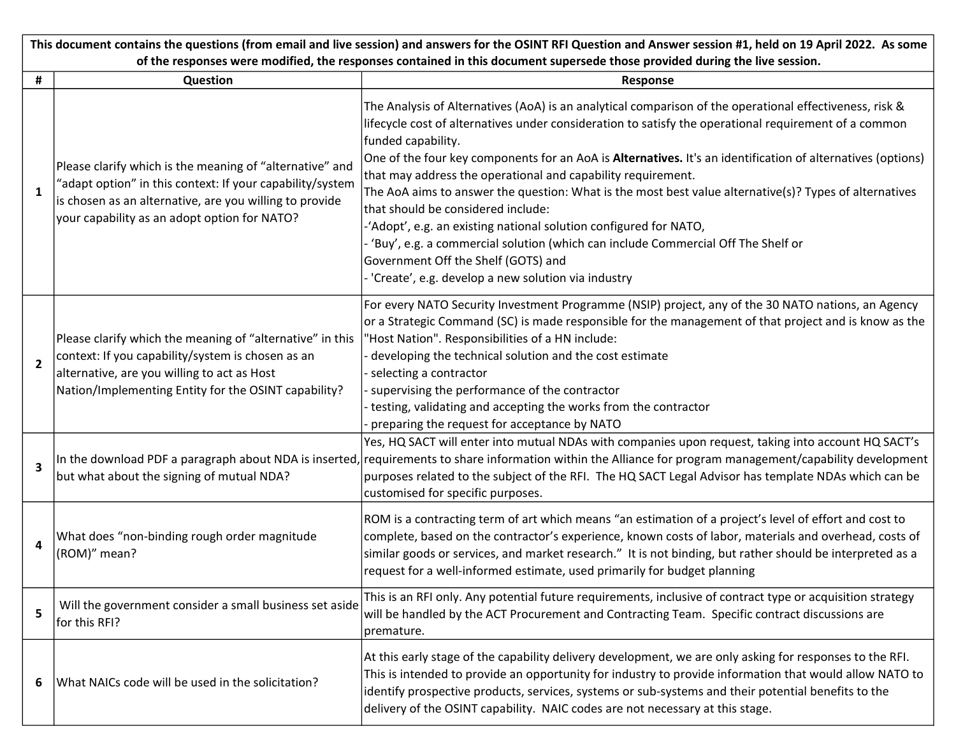| This document contains the questions (from email and live session) and answers for the OSINT RFI Question and Answer session #1, held on 19 April 2022. As some |                                                                                                                                                                                                                                  |                                                                                                                                                                                                                                                                                                                                                                                                                                                                                                                                                                                                                                                                                                                                                                                                                               |  |
|-----------------------------------------------------------------------------------------------------------------------------------------------------------------|----------------------------------------------------------------------------------------------------------------------------------------------------------------------------------------------------------------------------------|-------------------------------------------------------------------------------------------------------------------------------------------------------------------------------------------------------------------------------------------------------------------------------------------------------------------------------------------------------------------------------------------------------------------------------------------------------------------------------------------------------------------------------------------------------------------------------------------------------------------------------------------------------------------------------------------------------------------------------------------------------------------------------------------------------------------------------|--|
|                                                                                                                                                                 | of the responses were modified, the responses contained in this document supersede those provided during the live session.                                                                                                       |                                                                                                                                                                                                                                                                                                                                                                                                                                                                                                                                                                                                                                                                                                                                                                                                                               |  |
| #                                                                                                                                                               | Question                                                                                                                                                                                                                         | Response                                                                                                                                                                                                                                                                                                                                                                                                                                                                                                                                                                                                                                                                                                                                                                                                                      |  |
| 1                                                                                                                                                               | Please clarify which is the meaning of "alternative" and<br>"adapt option" in this context: If your capability/system<br>is chosen as an alternative, are you willing to provide<br>your capability as an adopt option for NATO? | The Analysis of Alternatives (AoA) is an analytical comparison of the operational effectiveness, risk &<br>lifecycle cost of alternatives under consideration to satisfy the operational requirement of a common<br>funded capability.<br>One of the four key components for an AoA is Alternatives. It's an identification of alternatives (options)<br>that may address the operational and capability requirement.<br>The AoA aims to answer the question: What is the most best value alternative(s)? Types of alternatives<br>that should be considered include:<br>-'Adopt', e.g. an existing national solution configured for NATO,<br>'Buy', e.g. a commercial solution (which can include Commercial Off The Shelf or<br>Government Off the Shelf (GOTS) and<br>- 'Create', e.g. develop a new solution via industry |  |
| $\overline{2}$                                                                                                                                                  | Please clarify which the meaning of "alternative" in this<br>context: If you capability/system is chosen as an<br>alternative, are you willing to act as Host<br>Nation/Implementing Entity for the OSINT capability?            | For every NATO Security Investment Programme (NSIP) project, any of the 30 NATO nations, an Agency<br>or a Strategic Command (SC) is made responsible for the management of that project and is know as the<br>'Host Nation". Responsibilities of a HN include:<br>developing the technical solution and the cost estimate<br>selecting a contractor<br>supervising the performance of the contractor<br>testing, validating and accepting the works from the contractor<br>preparing the request for acceptance by NATO                                                                                                                                                                                                                                                                                                      |  |
| 3                                                                                                                                                               | but what about the signing of mutual NDA?                                                                                                                                                                                        | Yes, HQ SACT will enter into mutual NDAs with companies upon request, taking into account HQ SACT's<br>In the download PDF a paragraph about NDA is inserted, requirements to share information within the Alliance for program management/capability development<br>purposes related to the subject of the RFI. The HQ SACT Legal Advisor has template NDAs which can be<br>customised for specific purposes.                                                                                                                                                                                                                                                                                                                                                                                                                |  |
| 4                                                                                                                                                               | What does "non-binding rough order magnitude<br>(ROM)" mean?                                                                                                                                                                     | ROM is a contracting term of art which means "an estimation of a project's level of effort and cost to<br>complete, based on the contractor's experience, known costs of labor, materials and overhead, costs of<br>similar goods or services, and market research." It is not binding, but rather should be interpreted as a<br>request for a well-informed estimate, used primarily for budget planning                                                                                                                                                                                                                                                                                                                                                                                                                     |  |
| 5                                                                                                                                                               | Will the government consider a small business set aside<br>for this RFI?                                                                                                                                                         | This is an RFI only. Any potential future requirements, inclusive of contract type or acquisition strategy<br>will be handled by the ACT Procurement and Contracting Team. Specific contract discussions are<br>premature.                                                                                                                                                                                                                                                                                                                                                                                                                                                                                                                                                                                                    |  |
| 6                                                                                                                                                               | What NAICs code will be used in the solicitation?                                                                                                                                                                                | At this early stage of the capability delivery development, we are only asking for responses to the RFI.<br>This is intended to provide an opportunity for industry to provide information that would allow NATO to<br>identify prospective products, services, systems or sub-systems and their potential benefits to the<br>delivery of the OSINT capability. NAIC codes are not necessary at this stage.                                                                                                                                                                                                                                                                                                                                                                                                                   |  |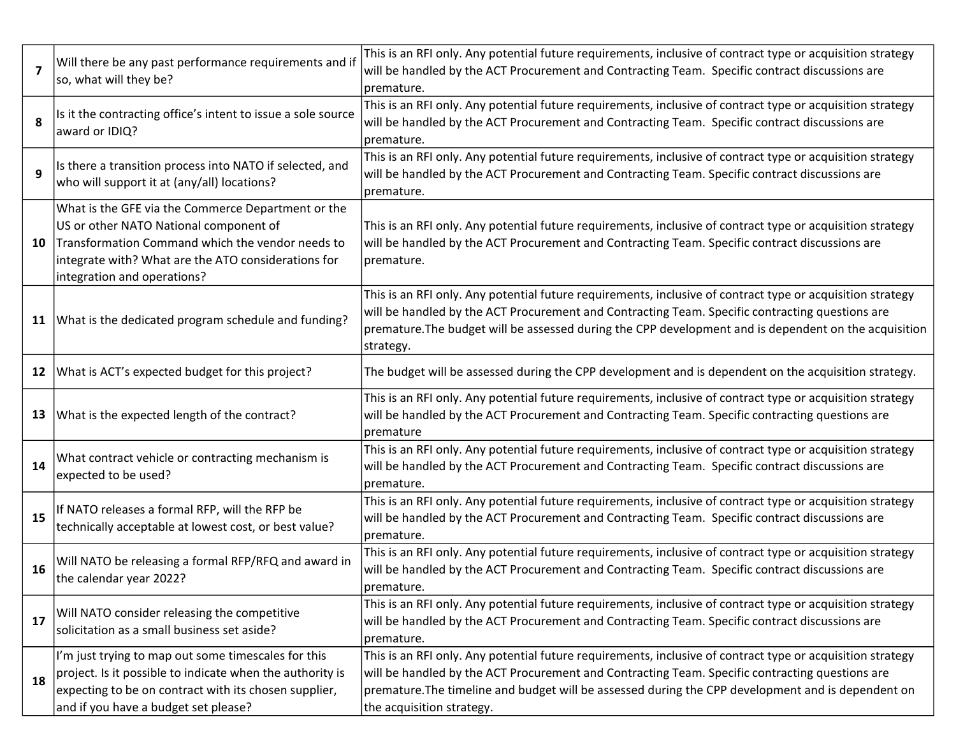| $\overline{7}$ | Will there be any past performance requirements and if<br>so, what will they be?                                                                                                                                                       | This is an RFI only. Any potential future requirements, inclusive of contract type or acquisition strategy<br>will be handled by the ACT Procurement and Contracting Team. Specific contract discussions are<br>premature.                                                                                                                       |
|----------------|----------------------------------------------------------------------------------------------------------------------------------------------------------------------------------------------------------------------------------------|--------------------------------------------------------------------------------------------------------------------------------------------------------------------------------------------------------------------------------------------------------------------------------------------------------------------------------------------------|
| 8              | Is it the contracting office's intent to issue a sole source<br>award or IDIQ?                                                                                                                                                         | This is an RFI only. Any potential future requirements, inclusive of contract type or acquisition strategy<br>will be handled by the ACT Procurement and Contracting Team. Specific contract discussions are<br>premature.                                                                                                                       |
| 9              | Is there a transition process into NATO if selected, and<br>who will support it at (any/all) locations?                                                                                                                                | This is an RFI only. Any potential future requirements, inclusive of contract type or acquisition strategy<br>will be handled by the ACT Procurement and Contracting Team. Specific contract discussions are<br>premature.                                                                                                                       |
| 10             | What is the GFE via the Commerce Department or the<br>US or other NATO National component of<br>Transformation Command which the vendor needs to<br>integrate with? What are the ATO considerations for<br>integration and operations? | This is an RFI only. Any potential future requirements, inclusive of contract type or acquisition strategy<br>will be handled by the ACT Procurement and Contracting Team. Specific contract discussions are<br>premature.                                                                                                                       |
| 11             | What is the dedicated program schedule and funding?                                                                                                                                                                                    | This is an RFI only. Any potential future requirements, inclusive of contract type or acquisition strategy<br>will be handled by the ACT Procurement and Contracting Team. Specific contracting questions are<br>premature. The budget will be assessed during the CPP development and is dependent on the acquisition<br>strategy.              |
| 12             | What is ACT's expected budget for this project?                                                                                                                                                                                        | The budget will be assessed during the CPP development and is dependent on the acquisition strategy.                                                                                                                                                                                                                                             |
| 13             | What is the expected length of the contract?                                                                                                                                                                                           | This is an RFI only. Any potential future requirements, inclusive of contract type or acquisition strategy<br>will be handled by the ACT Procurement and Contracting Team. Specific contracting questions are<br>premature                                                                                                                       |
| 14             | What contract vehicle or contracting mechanism is<br>expected to be used?                                                                                                                                                              | This is an RFI only. Any potential future requirements, inclusive of contract type or acquisition strategy<br>will be handled by the ACT Procurement and Contracting Team. Specific contract discussions are<br>premature.                                                                                                                       |
| 15             | If NATO releases a formal RFP, will the RFP be<br>technically acceptable at lowest cost, or best value?                                                                                                                                | This is an RFI only. Any potential future requirements, inclusive of contract type or acquisition strategy<br>will be handled by the ACT Procurement and Contracting Team. Specific contract discussions are<br>premature.                                                                                                                       |
| 16             | Will NATO be releasing a formal RFP/RFQ and award in<br>the calendar year 2022?                                                                                                                                                        | This is an RFI only. Any potential future requirements, inclusive of contract type or acquisition strategy<br>will be handled by the ACT Procurement and Contracting Team. Specific contract discussions are<br>premature.                                                                                                                       |
| 17             | Will NATO consider releasing the competitive<br>solicitation as a small business set aside?                                                                                                                                            | This is an RFI only. Any potential future requirements, inclusive of contract type or acquisition strategy<br>will be handled by the ACT Procurement and Contracting Team. Specific contract discussions are<br>premature.                                                                                                                       |
| 18             | I'm just trying to map out some timescales for this<br>project. Is it possible to indicate when the authority is<br>expecting to be on contract with its chosen supplier,<br>and if you have a budget set please?                      | This is an RFI only. Any potential future requirements, inclusive of contract type or acquisition strategy<br>will be handled by the ACT Procurement and Contracting Team. Specific contracting questions are<br>premature. The timeline and budget will be assessed during the CPP development and is dependent on<br>the acquisition strategy. |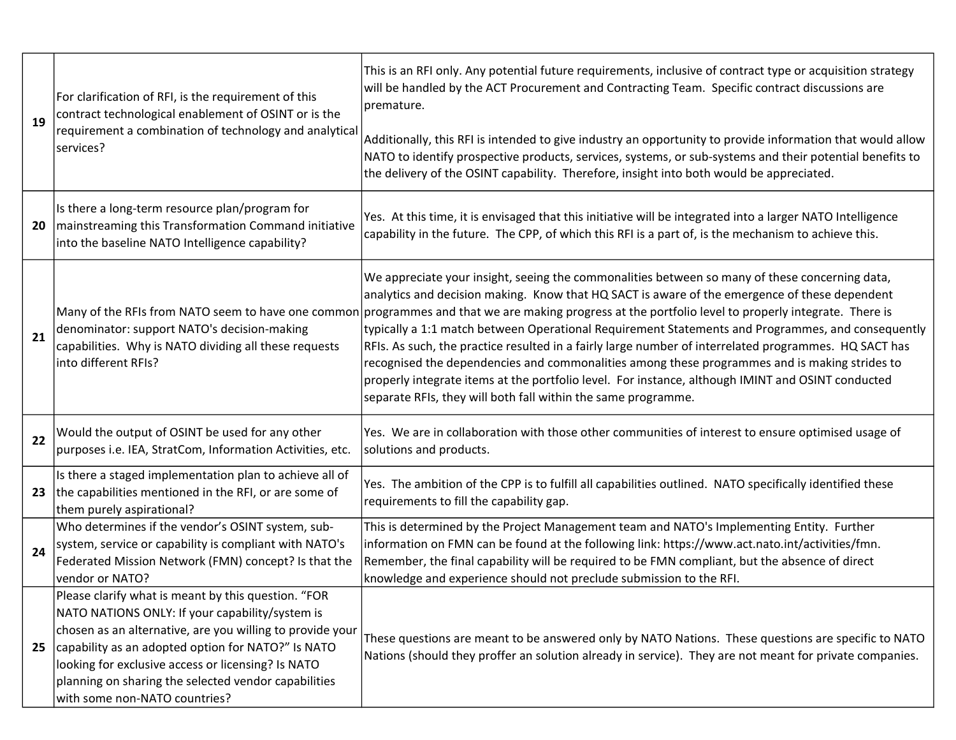|    | For clarification of RFI, is the requirement of this<br>contract technological enablement of OSINT or is the<br>19<br>requirement a combination of technology and analytica<br>services?                                                                                                                                                                                 | This is an RFI only. Any potential future requirements, inclusive of contract type or acquisition strategy<br>will be handled by the ACT Procurement and Contracting Team. Specific contract discussions are<br>premature.                                                                                                                                                                                                                                                                                                                                                                                                                                                                                                                                                                                                                   |
|----|--------------------------------------------------------------------------------------------------------------------------------------------------------------------------------------------------------------------------------------------------------------------------------------------------------------------------------------------------------------------------|----------------------------------------------------------------------------------------------------------------------------------------------------------------------------------------------------------------------------------------------------------------------------------------------------------------------------------------------------------------------------------------------------------------------------------------------------------------------------------------------------------------------------------------------------------------------------------------------------------------------------------------------------------------------------------------------------------------------------------------------------------------------------------------------------------------------------------------------|
|    |                                                                                                                                                                                                                                                                                                                                                                          | Additionally, this RFI is intended to give industry an opportunity to provide information that would allow<br>NATO to identify prospective products, services, systems, or sub-systems and their potential benefits to<br>the delivery of the OSINT capability. Therefore, insight into both would be appreciated.                                                                                                                                                                                                                                                                                                                                                                                                                                                                                                                           |
| 20 | Is there a long-term resource plan/program for<br>mainstreaming this Transformation Command initiative<br>into the baseline NATO Intelligence capability?                                                                                                                                                                                                                | Yes. At this time, it is envisaged that this initiative will be integrated into a larger NATO Intelligence<br>capability in the future. The CPP, of which this RFI is a part of, is the mechanism to achieve this.                                                                                                                                                                                                                                                                                                                                                                                                                                                                                                                                                                                                                           |
| 21 | denominator: support NATO's decision-making<br>capabilities. Why is NATO dividing all these requests<br>into different RFIs?                                                                                                                                                                                                                                             | We appreciate your insight, seeing the commonalities between so many of these concerning data,<br>analytics and decision making. Know that HQ SACT is aware of the emergence of these dependent<br>Many of the RFIs from NATO seem to have one common programmes and that we are making progress at the portfolio level to properly integrate. There is<br>typically a 1:1 match between Operational Requirement Statements and Programmes, and consequently<br>RFIs. As such, the practice resulted in a fairly large number of interrelated programmes. HQ SACT has<br>recognised the dependencies and commonalities among these programmes and is making strides to<br>properly integrate items at the portfolio level. For instance, although IMINT and OSINT conducted<br>separate RFIs, they will both fall within the same programme. |
| 22 | Would the output of OSINT be used for any other<br>purposes i.e. IEA, StratCom, Information Activities, etc.                                                                                                                                                                                                                                                             | Yes. We are in collaboration with those other communities of interest to ensure optimised usage of<br>solutions and products.                                                                                                                                                                                                                                                                                                                                                                                                                                                                                                                                                                                                                                                                                                                |
| 23 | Is there a staged implementation plan to achieve all of<br>the capabilities mentioned in the RFI, or are some of<br>them purely aspirational?                                                                                                                                                                                                                            | Yes. The ambition of the CPP is to fulfill all capabilities outlined. NATO specifically identified these<br>requirements to fill the capability gap.                                                                                                                                                                                                                                                                                                                                                                                                                                                                                                                                                                                                                                                                                         |
| 24 | Who determines if the vendor's OSINT system, sub-<br>system, service or capability is compliant with NATO's<br>Federated Mission Network (FMN) concept? Is that the<br>vendor or NATO?                                                                                                                                                                                   | This is determined by the Project Management team and NATO's Implementing Entity. Further<br>information on FMN can be found at the following link: https://www.act.nato.int/activities/fmn.<br>Remember, the final capability will be required to be FMN compliant, but the absence of direct<br>knowledge and experience should not preclude submission to the RFI.                                                                                                                                                                                                                                                                                                                                                                                                                                                                        |
| 25 | Please clarify what is meant by this question. "FOR<br>NATO NATIONS ONLY: If your capability/system is<br>chosen as an alternative, are you willing to provide your<br>capability as an adopted option for NATO?" Is NATO<br>looking for exclusive access or licensing? Is NATO<br>planning on sharing the selected vendor capabilities<br>with some non-NATO countries? | These questions are meant to be answered only by NATO Nations. These questions are specific to NATO<br>Nations (should they proffer an solution already in service). They are not meant for private companies.                                                                                                                                                                                                                                                                                                                                                                                                                                                                                                                                                                                                                               |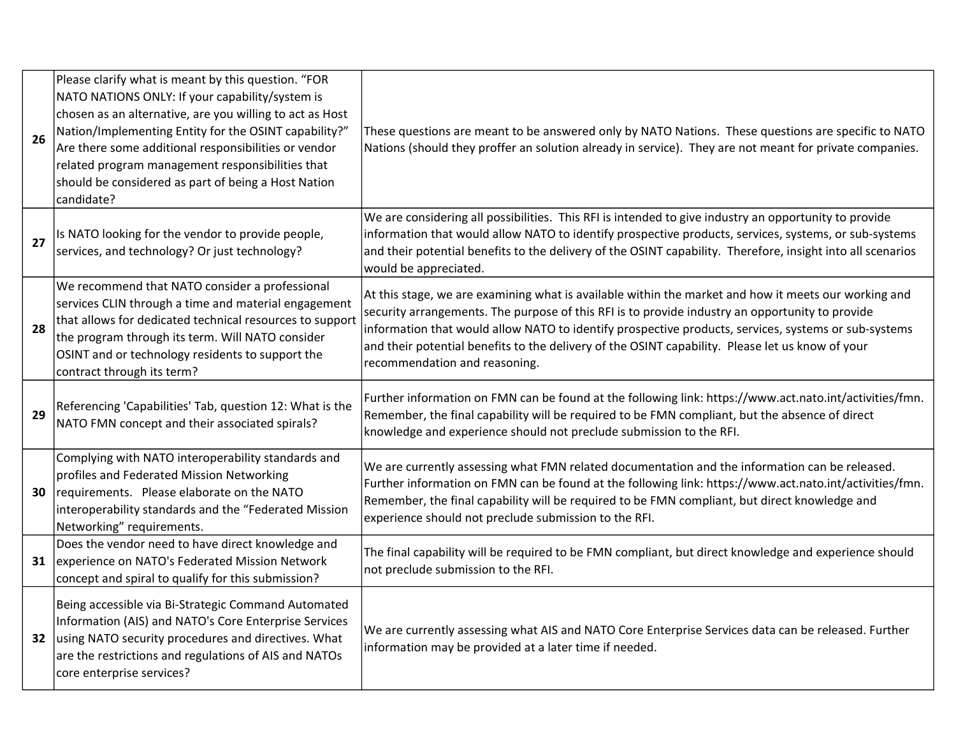| 26 | Please clarify what is meant by this question. "FOR<br>NATO NATIONS ONLY: If your capability/system is<br>chosen as an alternative, are you willing to act as Host<br>Nation/Implementing Entity for the OSINT capability?"                                                                              | These questions are meant to be answered only by NATO Nations. These questions are specific to NATO                                                                                                                                                                                                                                                                                                                                                  |
|----|----------------------------------------------------------------------------------------------------------------------------------------------------------------------------------------------------------------------------------------------------------------------------------------------------------|------------------------------------------------------------------------------------------------------------------------------------------------------------------------------------------------------------------------------------------------------------------------------------------------------------------------------------------------------------------------------------------------------------------------------------------------------|
|    | Are there some additional responsibilities or vendor<br>related program management responsibilities that<br>should be considered as part of being a Host Nation<br>candidate?                                                                                                                            | Nations (should they proffer an solution already in service). They are not meant for private companies.                                                                                                                                                                                                                                                                                                                                              |
| 27 | Is NATO looking for the vendor to provide people,<br>services, and technology? Or just technology?                                                                                                                                                                                                       | We are considering all possibilities. This RFI is intended to give industry an opportunity to provide<br>information that would allow NATO to identify prospective products, services, systems, or sub-systems<br>and their potential benefits to the delivery of the OSINT capability. Therefore, insight into all scenarios<br>would be appreciated.                                                                                               |
| 28 | We recommend that NATO consider a professional<br>services CLIN through a time and material engagement<br>that allows for dedicated technical resources to support<br>the program through its term. Will NATO consider<br>OSINT and or technology residents to support the<br>contract through its term? | At this stage, we are examining what is available within the market and how it meets our working and<br>security arrangements. The purpose of this RFI is to provide industry an opportunity to provide<br>information that would allow NATO to identify prospective products, services, systems or sub-systems<br>and their potential benefits to the delivery of the OSINT capability. Please let us know of your<br>recommendation and reasoning. |
| 29 | Referencing 'Capabilities' Tab, question 12: What is the<br>NATO FMN concept and their associated spirals?                                                                                                                                                                                               | Further information on FMN can be found at the following link: https://www.act.nato.int/activities/fmn.<br>Remember, the final capability will be required to be FMN compliant, but the absence of direct<br>knowledge and experience should not preclude submission to the RFI.                                                                                                                                                                     |
| 30 | Complying with NATO interoperability standards and<br>profiles and Federated Mission Networking<br>requirements. Please elaborate on the NATO<br>interoperability standards and the "Federated Mission<br>Networking" requirements.                                                                      | We are currently assessing what FMN related documentation and the information can be released.<br>Further information on FMN can be found at the following link: https://www.act.nato.int/activities/fmn.<br>Remember, the final capability will be required to be FMN compliant, but direct knowledge and<br>experience should not preclude submission to the RFI.                                                                                  |
| 31 | Does the vendor need to have direct knowledge and<br>experience on NATO's Federated Mission Network<br>concept and spiral to qualify for this submission?                                                                                                                                                | The final capability will be required to be FMN compliant, but direct knowledge and experience should<br>not preclude submission to the RFI.                                                                                                                                                                                                                                                                                                         |
| 32 | Being accessible via Bi-Strategic Command Automated<br>Information (AIS) and NATO's Core Enterprise Services<br>using NATO security procedures and directives. What<br>are the restrictions and regulations of AIS and NATOs<br>core enterprise services?                                                | We are currently assessing what AIS and NATO Core Enterprise Services data can be released. Further<br>information may be provided at a later time if needed.                                                                                                                                                                                                                                                                                        |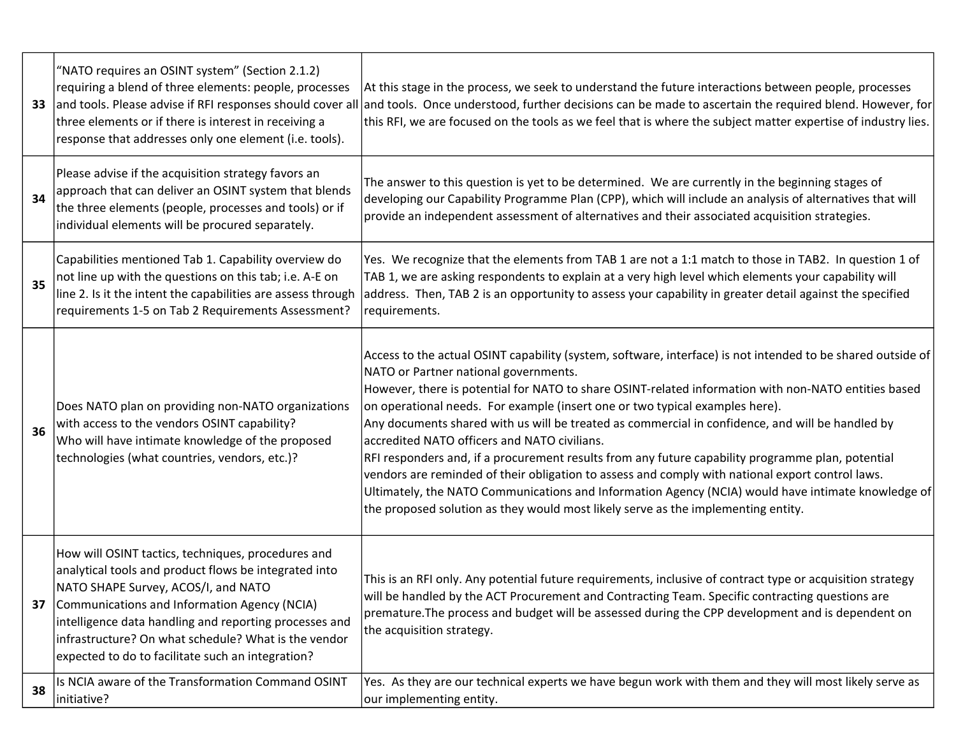| 33 | "NATO requires an OSINT system" (Section 2.1.2)<br>requiring a blend of three elements: people, processes<br>three elements or if there is interest in receiving a<br>response that addresses only one element (i.e. tools).                                                                                                                                              | At this stage in the process, we seek to understand the future interactions between people, processes<br>and tools. Please advise if RFI responses should cover all and tools. Once understood, further decisions can be made to ascertain the required blend. However, for<br>this RFI, we are focused on the tools as we feel that is where the subject matter expertise of industry lies.                                                                                                                                                                                                                                                                                                                                                                                                                                                                                                         |
|----|---------------------------------------------------------------------------------------------------------------------------------------------------------------------------------------------------------------------------------------------------------------------------------------------------------------------------------------------------------------------------|------------------------------------------------------------------------------------------------------------------------------------------------------------------------------------------------------------------------------------------------------------------------------------------------------------------------------------------------------------------------------------------------------------------------------------------------------------------------------------------------------------------------------------------------------------------------------------------------------------------------------------------------------------------------------------------------------------------------------------------------------------------------------------------------------------------------------------------------------------------------------------------------------|
| 34 | Please advise if the acquisition strategy favors an<br>approach that can deliver an OSINT system that blends<br>the three elements (people, processes and tools) or if<br>individual elements will be procured separately.                                                                                                                                                | The answer to this question is yet to be determined. We are currently in the beginning stages of<br>developing our Capability Programme Plan (CPP), which will include an analysis of alternatives that will<br>provide an independent assessment of alternatives and their associated acquisition strategies.                                                                                                                                                                                                                                                                                                                                                                                                                                                                                                                                                                                       |
| 35 | Capabilities mentioned Tab 1. Capability overview do<br>not line up with the questions on this tab; i.e. A-E on<br>line 2. Is it the intent the capabilities are assess through<br>requirements 1-5 on Tab 2 Requirements Assessment?                                                                                                                                     | Yes. We recognize that the elements from TAB 1 are not a 1:1 match to those in TAB2. In question 1 of<br>TAB 1, we are asking respondents to explain at a very high level which elements your capability will<br>address. Then, TAB 2 is an opportunity to assess your capability in greater detail against the specified<br>requirements.                                                                                                                                                                                                                                                                                                                                                                                                                                                                                                                                                           |
| 36 | Does NATO plan on providing non-NATO organizations<br>with access to the vendors OSINT capability?<br>Who will have intimate knowledge of the proposed<br>technologies (what countries, vendors, etc.)?                                                                                                                                                                   | Access to the actual OSINT capability (system, software, interface) is not intended to be shared outside of<br>NATO or Partner national governments.<br>However, there is potential for NATO to share OSINT-related information with non-NATO entities based<br>on operational needs. For example (insert one or two typical examples here).<br>Any documents shared with us will be treated as commercial in confidence, and will be handled by<br>accredited NATO officers and NATO civilians.<br>RFI responders and, if a procurement results from any future capability programme plan, potential<br>vendors are reminded of their obligation to assess and comply with national export control laws.<br>Ultimately, the NATO Communications and Information Agency (NCIA) would have intimate knowledge of<br>the proposed solution as they would most likely serve as the implementing entity. |
| 37 | How will OSINT tactics, techniques, procedures and<br>analytical tools and product flows be integrated into<br>NATO SHAPE Survey, ACOS/I, and NATO<br>Communications and Information Agency (NCIA)<br>intelligence data handling and reporting processes and<br>infrastructure? On what schedule? What is the vendor<br>expected to do to facilitate such an integration? | This is an RFI only. Any potential future requirements, inclusive of contract type or acquisition strategy<br>will be handled by the ACT Procurement and Contracting Team. Specific contracting questions are<br>premature. The process and budget will be assessed during the CPP development and is dependent on<br>the acquisition strategy.                                                                                                                                                                                                                                                                                                                                                                                                                                                                                                                                                      |
| 38 | Is NCIA aware of the Transformation Command OSINT<br>initiative?                                                                                                                                                                                                                                                                                                          | Yes. As they are our technical experts we have begun work with them and they will most likely serve as<br>our implementing entity.                                                                                                                                                                                                                                                                                                                                                                                                                                                                                                                                                                                                                                                                                                                                                                   |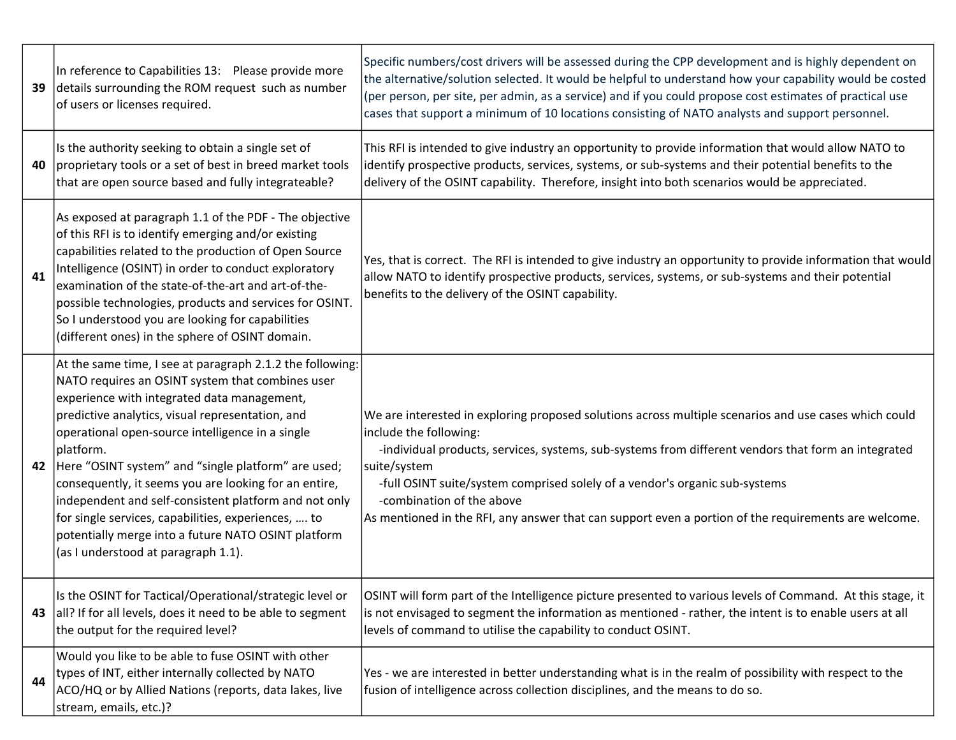| 39 | In reference to Capabilities 13: Please provide more<br>details surrounding the ROM request such as number<br>of users or licenses required.                                                                                                                                                                                                                                                                                                                                                                                                                                                                    | Specific numbers/cost drivers will be assessed during the CPP development and is highly dependent on<br>the alternative/solution selected. It would be helpful to understand how your capability would be costed<br>(per person, per site, per admin, as a service) and if you could propose cost estimates of practical use<br>cases that support a minimum of 10 locations consisting of NATO analysts and support personnel.                                            |
|----|-----------------------------------------------------------------------------------------------------------------------------------------------------------------------------------------------------------------------------------------------------------------------------------------------------------------------------------------------------------------------------------------------------------------------------------------------------------------------------------------------------------------------------------------------------------------------------------------------------------------|----------------------------------------------------------------------------------------------------------------------------------------------------------------------------------------------------------------------------------------------------------------------------------------------------------------------------------------------------------------------------------------------------------------------------------------------------------------------------|
| 40 | Is the authority seeking to obtain a single set of<br>proprietary tools or a set of best in breed market tools<br>that are open source based and fully integrateable?                                                                                                                                                                                                                                                                                                                                                                                                                                           | This RFI is intended to give industry an opportunity to provide information that would allow NATO to<br>identify prospective products, services, systems, or sub-systems and their potential benefits to the<br>delivery of the OSINT capability. Therefore, insight into both scenarios would be appreciated.                                                                                                                                                             |
| 41 | As exposed at paragraph 1.1 of the PDF - The objective<br>of this RFI is to identify emerging and/or existing<br>capabilities related to the production of Open Source<br>Intelligence (OSINT) in order to conduct exploratory<br>examination of the state-of-the-art and art-of-the-<br>possible technologies, products and services for OSINT.<br>So I understood you are looking for capabilities<br>(different ones) in the sphere of OSINT domain.                                                                                                                                                         | Yes, that is correct. The RFI is intended to give industry an opportunity to provide information that would<br>allow NATO to identify prospective products, services, systems, or sub-systems and their potential<br>benefits to the delivery of the OSINT capability.                                                                                                                                                                                                     |
| 42 | At the same time, I see at paragraph 2.1.2 the following:<br>NATO requires an OSINT system that combines user<br>experience with integrated data management,<br>predictive analytics, visual representation, and<br>operational open-source intelligence in a single<br>platform.<br>Here "OSINT system" and "single platform" are used;<br>consequently, it seems you are looking for an entire,<br>independent and self-consistent platform and not only<br>for single services, capabilities, experiences,  to<br>potentially merge into a future NATO OSINT platform<br>(as I understood at paragraph 1.1). | We are interested in exploring proposed solutions across multiple scenarios and use cases which could<br>include the following:<br>-individual products, services, systems, sub-systems from different vendors that form an integrated<br>suite/system<br>-full OSINT suite/system comprised solely of a vendor's organic sub-systems<br>-combination of the above<br>As mentioned in the RFI, any answer that can support even a portion of the requirements are welcome. |
| 43 | Is the OSINT for Tactical/Operational/strategic level or<br>all? If for all levels, does it need to be able to segment<br>the output for the required level?                                                                                                                                                                                                                                                                                                                                                                                                                                                    | OSINT will form part of the Intelligence picture presented to various levels of Command. At this stage, it<br>is not envisaged to segment the information as mentioned - rather, the intent is to enable users at all<br>levels of command to utilise the capability to conduct OSINT.                                                                                                                                                                                     |
| 44 | Would you like to be able to fuse OSINT with other<br>types of INT, either internally collected by NATO<br>ACO/HQ or by Allied Nations (reports, data lakes, live<br>stream, emails, etc.)?                                                                                                                                                                                                                                                                                                                                                                                                                     | Yes - we are interested in better understanding what is in the realm of possibility with respect to the<br>fusion of intelligence across collection disciplines, and the means to do so.                                                                                                                                                                                                                                                                                   |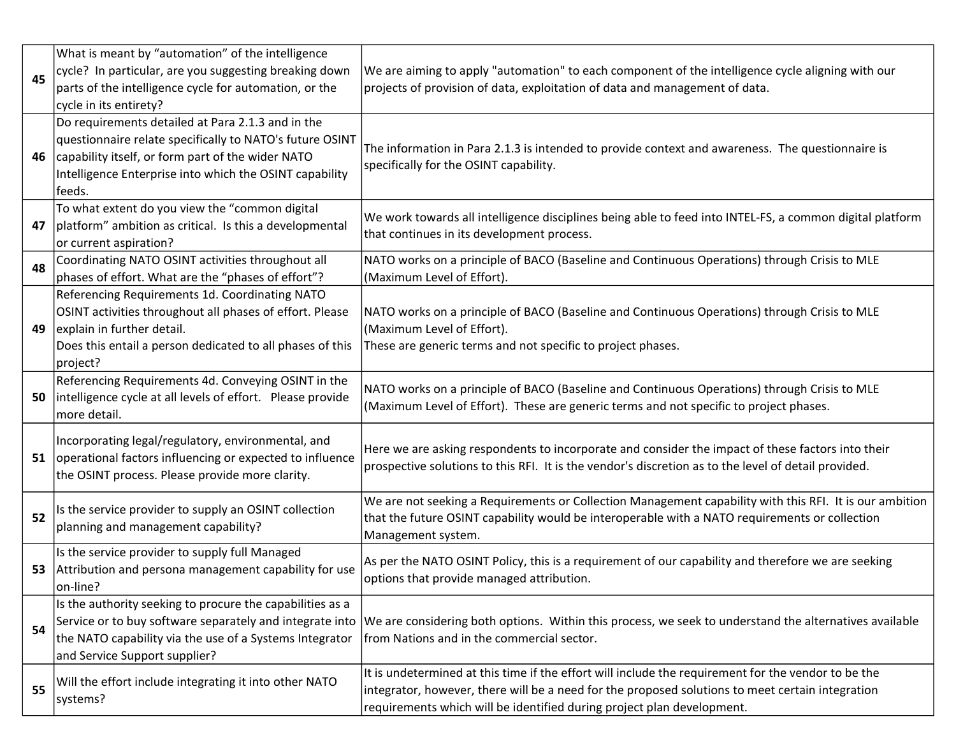|    | What is meant by "automation" of the intelligence          |                                                                                                          |
|----|------------------------------------------------------------|----------------------------------------------------------------------------------------------------------|
| 45 | cycle? In particular, are you suggesting breaking down     | We are aiming to apply "automation" to each component of the intelligence cycle aligning with our        |
|    | parts of the intelligence cycle for automation, or the     | projects of provision of data, exploitation of data and management of data.                              |
|    | cycle in its entirety?                                     |                                                                                                          |
|    | Do requirements detailed at Para 2.1.3 and in the          |                                                                                                          |
|    | questionnaire relate specifically to NATO's future OSINT   |                                                                                                          |
| 46 | capability itself, or form part of the wider NATO          | The information in Para 2.1.3 is intended to provide context and awareness. The questionnaire is         |
|    | Intelligence Enterprise into which the OSINT capability    | specifically for the OSINT capability.                                                                   |
|    | feeds.                                                     |                                                                                                          |
|    | To what extent do you view the "common digital             |                                                                                                          |
| 47 | platform" ambition as critical. Is this a developmental    | We work towards all intelligence disciplines being able to feed into INTEL-FS, a common digital platform |
|    | or current aspiration?                                     | that continues in its development process.                                                               |
| 48 | Coordinating NATO OSINT activities throughout all          | NATO works on a principle of BACO (Baseline and Continuous Operations) through Crisis to MLE             |
|    | phases of effort. What are the "phases of effort"?         | (Maximum Level of Effort).                                                                               |
|    | Referencing Requirements 1d. Coordinating NATO             |                                                                                                          |
|    | OSINT activities throughout all phases of effort. Please   | NATO works on a principle of BACO (Baseline and Continuous Operations) through Crisis to MLE             |
| 49 | explain in further detail.                                 | (Maximum Level of Effort).                                                                               |
|    | Does this entail a person dedicated to all phases of this  | These are generic terms and not specific to project phases.                                              |
|    | project?                                                   |                                                                                                          |
|    | Referencing Requirements 4d. Conveying OSINT in the        | NATO works on a principle of BACO (Baseline and Continuous Operations) through Crisis to MLE             |
| 50 | intelligence cycle at all levels of effort. Please provide | (Maximum Level of Effort). These are generic terms and not specific to project phases.                   |
|    | more detail.                                               |                                                                                                          |
|    | Incorporating legal/regulatory, environmental, and         |                                                                                                          |
| 51 | operational factors influencing or expected to influence   | Here we are asking respondents to incorporate and consider the impact of these factors into their        |
|    | the OSINT process. Please provide more clarity.            | prospective solutions to this RFI. It is the vendor's discretion as to the level of detail provided.     |
|    |                                                            | We are not seeking a Requirements or Collection Management capability with this RFI. It is our ambition  |
| 52 | Is the service provider to supply an OSINT collection      | that the future OSINT capability would be interoperable with a NATO requirements or collection           |
|    | planning and management capability?                        | Management system.                                                                                       |
|    | Is the service provider to supply full Managed             |                                                                                                          |
| 53 | Attribution and persona management capability for use      | As per the NATO OSINT Policy, this is a requirement of our capability and therefore we are seeking       |
|    | on-line?                                                   | options that provide managed attribution.                                                                |
|    | Is the authority seeking to procure the capabilities as a  |                                                                                                          |
|    | Service or to buy software separately and integrate into   | We are considering both options. Within this process, we seek to understand the alternatives available   |
| 54 | the NATO capability via the use of a Systems Integrator    | from Nations and in the commercial sector.                                                               |
|    | and Service Support supplier?                              |                                                                                                          |
|    |                                                            | It is undetermined at this time if the effort will include the requirement for the vendor to be the      |
| 55 | Will the effort include integrating it into other NATO     | integrator, however, there will be a need for the proposed solutions to meet certain integration         |
|    | systems?                                                   | requirements which will be identified during project plan development.                                   |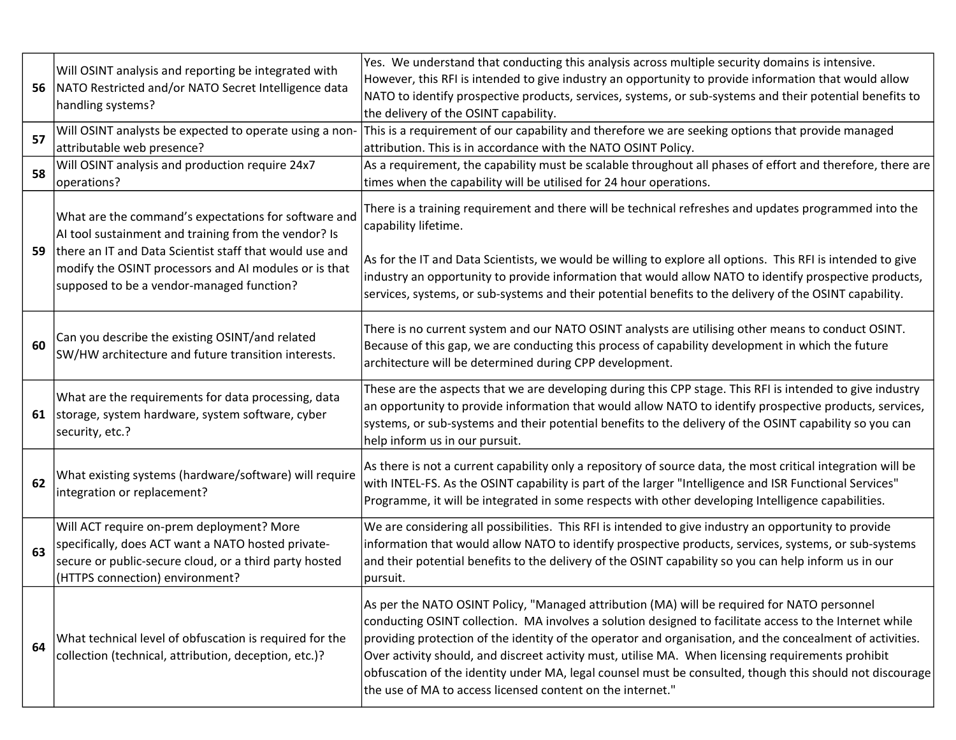| 56 | Will OSINT analysis and reporting be integrated with<br>NATO Restricted and/or NATO Secret Intelligence data<br>handling systems?                                                                                                                                             | Yes. We understand that conducting this analysis across multiple security domains is intensive.<br>However, this RFI is intended to give industry an opportunity to provide information that would allow<br>NATO to identify prospective products, services, systems, or sub-systems and their potential benefits to<br>the delivery of the OSINT capability.                                                                                                                                                                                                                                       |
|----|-------------------------------------------------------------------------------------------------------------------------------------------------------------------------------------------------------------------------------------------------------------------------------|-----------------------------------------------------------------------------------------------------------------------------------------------------------------------------------------------------------------------------------------------------------------------------------------------------------------------------------------------------------------------------------------------------------------------------------------------------------------------------------------------------------------------------------------------------------------------------------------------------|
| 57 | Will OSINT analysts be expected to operate using a non-<br>attributable web presence?                                                                                                                                                                                         | This is a requirement of our capability and therefore we are seeking options that provide managed<br>attribution. This is in accordance with the NATO OSINT Policy.                                                                                                                                                                                                                                                                                                                                                                                                                                 |
| 58 | Will OSINT analysis and production require 24x7<br>operations?                                                                                                                                                                                                                | As a requirement, the capability must be scalable throughout all phases of effort and therefore, there are<br>times when the capability will be utilised for 24 hour operations.                                                                                                                                                                                                                                                                                                                                                                                                                    |
| 59 | What are the command's expectations for software and<br>AI tool sustainment and training from the vendor? Is<br>there an IT and Data Scientist staff that would use and<br>modify the OSINT processors and AI modules or is that<br>supposed to be a vendor-managed function? | There is a training requirement and there will be technical refreshes and updates programmed into the<br>capability lifetime.<br>As for the IT and Data Scientists, we would be willing to explore all options. This RFI is intended to give<br>industry an opportunity to provide information that would allow NATO to identify prospective products,<br>services, systems, or sub-systems and their potential benefits to the delivery of the OSINT capability.                                                                                                                                   |
| 60 | Can you describe the existing OSINT/and related<br>SW/HW architecture and future transition interests.                                                                                                                                                                        | There is no current system and our NATO OSINT analysts are utilising other means to conduct OSINT.<br>Because of this gap, we are conducting this process of capability development in which the future<br>architecture will be determined during CPP development.                                                                                                                                                                                                                                                                                                                                  |
|    | What are the requirements for data processing, data<br>61 storage, system hardware, system software, cyber<br>security, etc.?                                                                                                                                                 | These are the aspects that we are developing during this CPP stage. This RFI is intended to give industry<br>an opportunity to provide information that would allow NATO to identify prospective products, services,<br>systems, or sub-systems and their potential benefits to the delivery of the OSINT capability so you can<br>help inform us in our pursuit.                                                                                                                                                                                                                                   |
| 62 | What existing systems (hardware/software) will require<br>integration or replacement?                                                                                                                                                                                         | As there is not a current capability only a repository of source data, the most critical integration will be<br>with INTEL-FS. As the OSINT capability is part of the larger "Intelligence and ISR Functional Services"<br>Programme, it will be integrated in some respects with other developing Intelligence capabilities.                                                                                                                                                                                                                                                                       |
| 63 | Will ACT require on-prem deployment? More<br>specifically, does ACT want a NATO hosted private-<br>secure or public-secure cloud, or a third party hosted<br>(HTTPS connection) environment?                                                                                  | We are considering all possibilities. This RFI is intended to give industry an opportunity to provide<br>information that would allow NATO to identify prospective products, services, systems, or sub-systems<br>and their potential benefits to the delivery of the OSINT capability so you can help inform us in our<br>pursuit.                                                                                                                                                                                                                                                                 |
| 64 | What technical level of obfuscation is required for the<br>collection (technical, attribution, deception, etc.)?                                                                                                                                                              | As per the NATO OSINT Policy, "Managed attribution (MA) will be required for NATO personnel<br>conducting OSINT collection. MA involves a solution designed to facilitate access to the Internet while<br>providing protection of the identity of the operator and organisation, and the concealment of activities.<br>Over activity should, and discreet activity must, utilise MA. When licensing requirements prohibit<br>obfuscation of the identity under MA, legal counsel must be consulted, though this should not discourage<br>the use of MA to access licensed content on the internet." |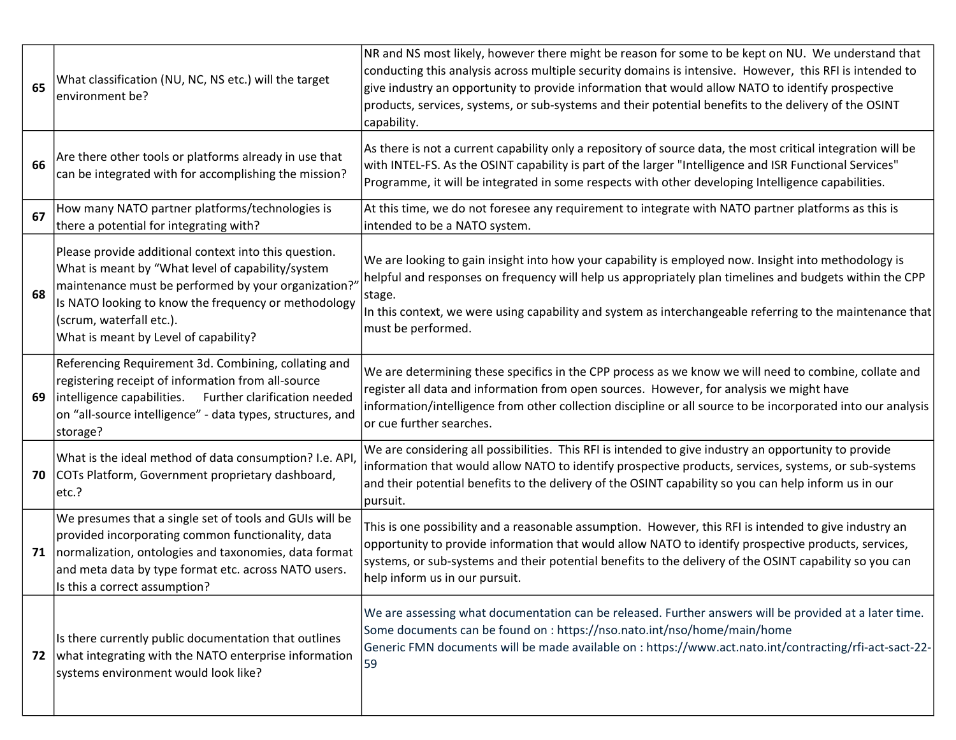| 65 | What classification (NU, NC, NS etc.) will the target<br>environment be?                                                                                                                                                                                                                       | NR and NS most likely, however there might be reason for some to be kept on NU. We understand that<br>conducting this analysis across multiple security domains is intensive. However, this RFI is intended to<br>give industry an opportunity to provide information that would allow NATO to identify prospective<br>products, services, systems, or sub-systems and their potential benefits to the delivery of the OSINT<br>capability. |
|----|------------------------------------------------------------------------------------------------------------------------------------------------------------------------------------------------------------------------------------------------------------------------------------------------|---------------------------------------------------------------------------------------------------------------------------------------------------------------------------------------------------------------------------------------------------------------------------------------------------------------------------------------------------------------------------------------------------------------------------------------------|
| 66 | Are there other tools or platforms already in use that<br>can be integrated with for accomplishing the mission?                                                                                                                                                                                | As there is not a current capability only a repository of source data, the most critical integration will be<br>with INTEL-FS. As the OSINT capability is part of the larger "Intelligence and ISR Functional Services"<br>Programme, it will be integrated in some respects with other developing Intelligence capabilities.                                                                                                               |
| 67 | How many NATO partner platforms/technologies is<br>there a potential for integrating with?                                                                                                                                                                                                     | At this time, we do not foresee any requirement to integrate with NATO partner platforms as this is<br>intended to be a NATO system.                                                                                                                                                                                                                                                                                                        |
| 68 | Please provide additional context into this question.<br>What is meant by "What level of capability/system<br>maintenance must be performed by your organization?<br>Is NATO looking to know the frequency or methodology<br>(scrum, waterfall etc.).<br>What is meant by Level of capability? | We are looking to gain insight into how your capability is employed now. Insight into methodology is<br>helpful and responses on frequency will help us appropriately plan timelines and budgets within the CPP<br>stage.<br>In this context, we were using capability and system as interchangeable referring to the maintenance that<br>must be performed.                                                                                |
| 69 | Referencing Requirement 3d. Combining, collating and<br>registering receipt of information from all-source<br>intelligence capabilities.<br>Further clarification needed<br>on "all-source intelligence" - data types, structures, and<br>storage?                                             | We are determining these specifics in the CPP process as we know we will need to combine, collate and<br>register all data and information from open sources. However, for analysis we might have<br>information/intelligence from other collection discipline or all source to be incorporated into our analysis<br>or cue further searches.                                                                                               |
| 70 | What is the ideal method of data consumption? I.e. API<br>COTs Platform, Government proprietary dashboard,<br>etc.?                                                                                                                                                                            | We are considering all possibilities. This RFI is intended to give industry an opportunity to provide<br>information that would allow NATO to identify prospective products, services, systems, or sub-systems<br>and their potential benefits to the delivery of the OSINT capability so you can help inform us in our<br>pursuit.                                                                                                         |
| 71 | We presumes that a single set of tools and GUIs will be<br>provided incorporating common functionality, data<br>normalization, ontologies and taxonomies, data format<br>and meta data by type format etc. across NATO users.<br>Is this a correct assumption?                                 | This is one possibility and a reasonable assumption. However, this RFI is intended to give industry an<br>opportunity to provide information that would allow NATO to identify prospective products, services,<br>systems, or sub-systems and their potential benefits to the delivery of the OSINT capability so you can<br>help inform us in our pursuit.                                                                                 |
| 72 | Is there currently public documentation that outlines<br>what integrating with the NATO enterprise information<br>systems environment would look like?                                                                                                                                         | We are assessing what documentation can be released. Further answers will be provided at a later time.<br>Some documents can be found on : https://nso.nato.int/nso/home/main/home<br>Generic FMN documents will be made available on : https://www.act.nato.int/contracting/rfi-act-sact-22-<br>59                                                                                                                                         |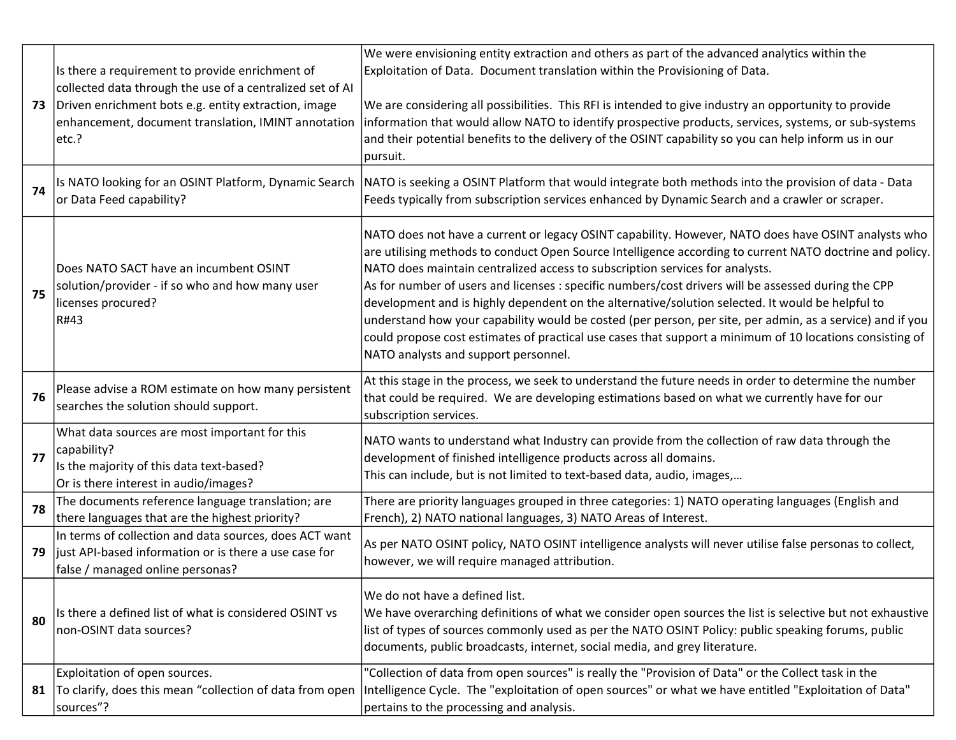| 73 | Is there a requirement to provide enrichment of<br>collected data through the use of a centralized set of AI<br>Driven enrichment bots e.g. entity extraction, image<br>enhancement, document translation, IMINT annotation<br>etc.? | We were envisioning entity extraction and others as part of the advanced analytics within the<br>Exploitation of Data. Document translation within the Provisioning of Data.<br>We are considering all possibilities. This RFI is intended to give industry an opportunity to provide<br>information that would allow NATO to identify prospective products, services, systems, or sub-systems<br>and their potential benefits to the delivery of the OSINT capability so you can help inform us in our<br>pursuit.                                                                                                                                                                                                                                                         |
|----|--------------------------------------------------------------------------------------------------------------------------------------------------------------------------------------------------------------------------------------|-----------------------------------------------------------------------------------------------------------------------------------------------------------------------------------------------------------------------------------------------------------------------------------------------------------------------------------------------------------------------------------------------------------------------------------------------------------------------------------------------------------------------------------------------------------------------------------------------------------------------------------------------------------------------------------------------------------------------------------------------------------------------------|
| 74 | or Data Feed capability?                                                                                                                                                                                                             | Is NATO looking for an OSINT Platform, Dynamic Search  NATO is seeking a OSINT Platform that would integrate both methods into the provision of data - Data<br>Feeds typically from subscription services enhanced by Dynamic Search and a crawler or scraper.                                                                                                                                                                                                                                                                                                                                                                                                                                                                                                              |
| 75 | Does NATO SACT have an incumbent OSINT<br>solution/provider - if so who and how many user<br>licenses procured?<br>R#43                                                                                                              | NATO does not have a current or legacy OSINT capability. However, NATO does have OSINT analysts who<br>are utilising methods to conduct Open Source Intelligence according to current NATO doctrine and policy.<br>NATO does maintain centralized access to subscription services for analysts.<br>As for number of users and licenses : specific numbers/cost drivers will be assessed during the CPP<br>development and is highly dependent on the alternative/solution selected. It would be helpful to<br>understand how your capability would be costed (per person, per site, per admin, as a service) and if you<br>could propose cost estimates of practical use cases that support a minimum of 10 locations consisting of<br>NATO analysts and support personnel. |
| 76 | Please advise a ROM estimate on how many persistent<br>searches the solution should support.                                                                                                                                         | At this stage in the process, we seek to understand the future needs in order to determine the number<br>that could be required. We are developing estimations based on what we currently have for our<br>subscription services.                                                                                                                                                                                                                                                                                                                                                                                                                                                                                                                                            |
| 77 | What data sources are most important for this<br>capability?<br>Is the majority of this data text-based?<br>Or is there interest in audio/images?                                                                                    | NATO wants to understand what Industry can provide from the collection of raw data through the<br>development of finished intelligence products across all domains.<br>This can include, but is not limited to text-based data, audio, images,                                                                                                                                                                                                                                                                                                                                                                                                                                                                                                                              |
| 78 | The documents reference language translation; are<br>there languages that are the highest priority?                                                                                                                                  | There are priority languages grouped in three categories: 1) NATO operating languages (English and<br>French), 2) NATO national languages, 3) NATO Areas of Interest.                                                                                                                                                                                                                                                                                                                                                                                                                                                                                                                                                                                                       |
| 79 | In terms of collection and data sources, does ACT want<br>just API-based information or is there a use case for<br>false / managed online personas?                                                                                  | As per NATO OSINT policy, NATO OSINT intelligence analysts will never utilise false personas to collect,<br>however, we will require managed attribution.                                                                                                                                                                                                                                                                                                                                                                                                                                                                                                                                                                                                                   |
| 80 | Is there a defined list of what is considered OSINT vs<br>non-OSINT data sources?                                                                                                                                                    | We do not have a defined list.<br>We have overarching definitions of what we consider open sources the list is selective but not exhaustive<br>list of types of sources commonly used as per the NATO OSINT Policy: public speaking forums, public<br>documents, public broadcasts, internet, social media, and grey literature.                                                                                                                                                                                                                                                                                                                                                                                                                                            |
| 81 | Exploitation of open sources.<br>To clarify, does this mean "collection of data from open<br>sources"?                                                                                                                               | "Collection of data from open sources" is really the "Provision of Data" or the Collect task in the<br>Intelligence Cycle. The "exploitation of open sources" or what we have entitled "Exploitation of Data"<br>pertains to the processing and analysis.                                                                                                                                                                                                                                                                                                                                                                                                                                                                                                                   |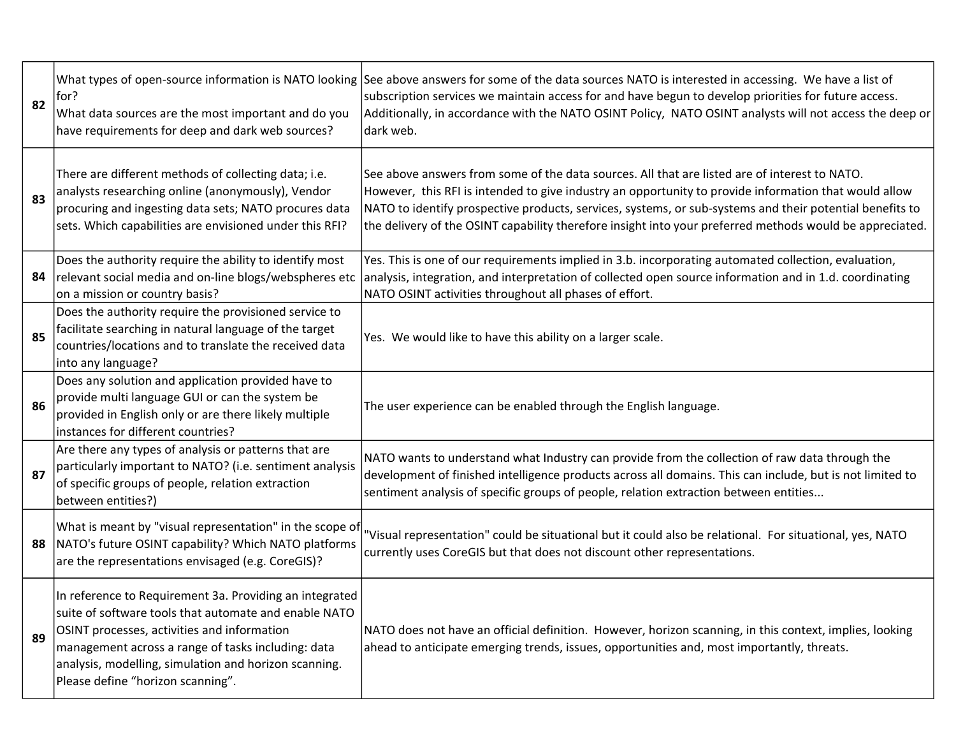| 82 | for?<br>What data sources are the most important and do you<br>have requirements for deep and dark web sources?                                                                                                                                                                                                     | What types of open-source information is NATO looking See above answers for some of the data sources NATO is interested in accessing. We have a list of<br>subscription services we maintain access for and have begun to develop priorities for future access.<br>Additionally, in accordance with the NATO OSINT Policy, NATO OSINT analysts will not access the deep or<br>dark web.                                        |
|----|---------------------------------------------------------------------------------------------------------------------------------------------------------------------------------------------------------------------------------------------------------------------------------------------------------------------|--------------------------------------------------------------------------------------------------------------------------------------------------------------------------------------------------------------------------------------------------------------------------------------------------------------------------------------------------------------------------------------------------------------------------------|
| 83 | There are different methods of collecting data; i.e.<br>analysts researching online (anonymously), Vendor<br>procuring and ingesting data sets; NATO procures data<br>sets. Which capabilities are envisioned under this RFI?                                                                                       | See above answers from some of the data sources. All that are listed are of interest to NATO.<br>However, this RFI is intended to give industry an opportunity to provide information that would allow<br>NATO to identify prospective products, services, systems, or sub-systems and their potential benefits to<br>the delivery of the OSINT capability therefore insight into your preferred methods would be appreciated. |
| 84 | Does the authority require the ability to identify most<br>relevant social media and on-line blogs/webspheres etc<br>on a mission or country basis?                                                                                                                                                                 | Yes. This is one of our requirements implied in 3.b. incorporating automated collection, evaluation,<br>analysis, integration, and interpretation of collected open source information and in 1.d. coordinating<br>NATO OSINT activities throughout all phases of effort.                                                                                                                                                      |
| 85 | Does the authority require the provisioned service to<br>facilitate searching in natural language of the target<br>countries/locations and to translate the received data<br>into any language?                                                                                                                     | Yes. We would like to have this ability on a larger scale.                                                                                                                                                                                                                                                                                                                                                                     |
| 86 | Does any solution and application provided have to<br>provide multi language GUI or can the system be<br>provided in English only or are there likely multiple<br>instances for different countries?                                                                                                                | The user experience can be enabled through the English language.                                                                                                                                                                                                                                                                                                                                                               |
| 87 | Are there any types of analysis or patterns that are<br>particularly important to NATO? (i.e. sentiment analysis<br>of specific groups of people, relation extraction<br>between entities?)                                                                                                                         | NATO wants to understand what Industry can provide from the collection of raw data through the<br>development of finished intelligence products across all domains. This can include, but is not limited to<br>sentiment analysis of specific groups of people, relation extraction between entities                                                                                                                           |
| 88 | What is meant by "visual representation" in the scope of<br>NATO's future OSINT capability? Which NATO platforms<br>are the representations envisaged (e.g. CoreGIS)?                                                                                                                                               | 'Visual representation" could be situational but it could also be relational. For situational, yes, NATO<br>currently uses CoreGIS but that does not discount other representations.                                                                                                                                                                                                                                           |
| 89 | In reference to Requirement 3a. Providing an integrated<br>suite of software tools that automate and enable NATO<br>OSINT processes, activities and information<br>management across a range of tasks including: data<br>analysis, modelling, simulation and horizon scanning.<br>Please define "horizon scanning". | NATO does not have an official definition. However, horizon scanning, in this context, implies, looking<br>ahead to anticipate emerging trends, issues, opportunities and, most importantly, threats.                                                                                                                                                                                                                          |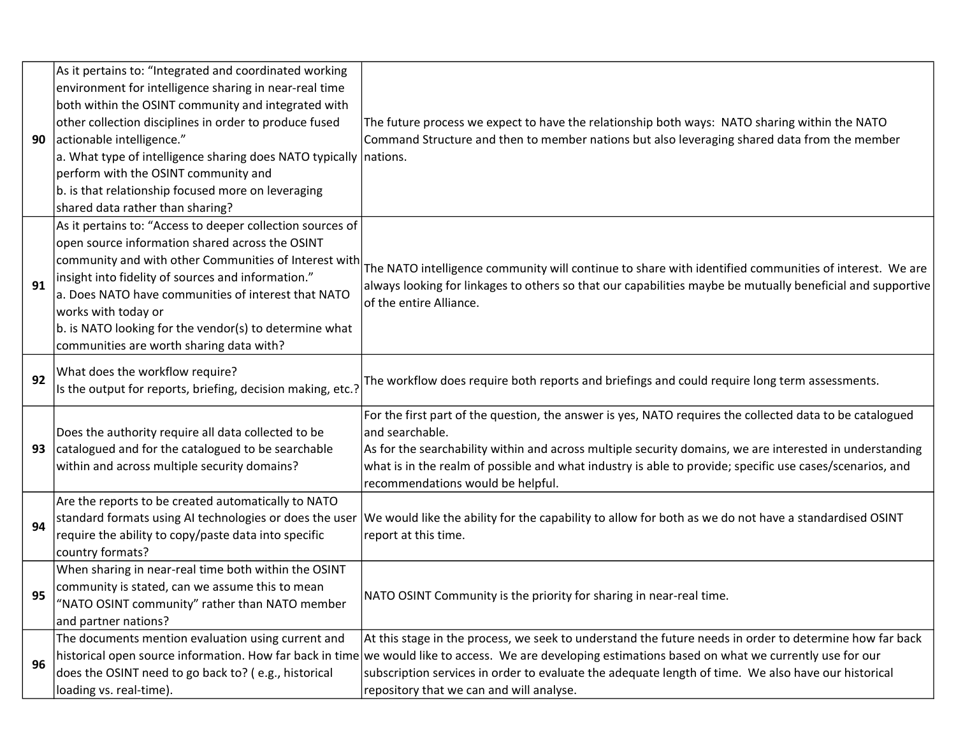| 90 | As it pertains to: "Integrated and coordinated working<br>environment for intelligence sharing in near-real time<br>both within the OSINT community and integrated with<br>other collection disciplines in order to produce fused<br>actionable intelligence."<br>a. What type of intelligence sharing does NATO typically nations.<br>perform with the OSINT community and<br>b. is that relationship focused more on leveraging | The future process we expect to have the relationship both ways: NATO sharing within the NATO<br>Command Structure and then to member nations but also leveraging shared data from the member                                                                                                                                                                                                                        |
|----|-----------------------------------------------------------------------------------------------------------------------------------------------------------------------------------------------------------------------------------------------------------------------------------------------------------------------------------------------------------------------------------------------------------------------------------|----------------------------------------------------------------------------------------------------------------------------------------------------------------------------------------------------------------------------------------------------------------------------------------------------------------------------------------------------------------------------------------------------------------------|
|    | shared data rather than sharing?<br>As it pertains to: "Access to deeper collection sources of                                                                                                                                                                                                                                                                                                                                    |                                                                                                                                                                                                                                                                                                                                                                                                                      |
| 91 | open source information shared across the OSINT<br>community and with other Communities of Interest with<br>insight into fidelity of sources and information."<br>a. Does NATO have communities of interest that NATO<br>works with today or<br>b. is NATO looking for the vendor(s) to determine what<br>communities are worth sharing data with?                                                                                | The NATO intelligence community will continue to share with identified communities of interest. We are<br>always looking for linkages to others so that our capabilities maybe be mutually beneficial and supportive<br>of the entire Alliance.                                                                                                                                                                      |
| 92 | What does the workflow require?<br>Is the output for reports, briefing, decision making, etc.?                                                                                                                                                                                                                                                                                                                                    | The workflow does require both reports and briefings and could require long term assessments.                                                                                                                                                                                                                                                                                                                        |
| 93 | Does the authority require all data collected to be<br>catalogued and for the catalogued to be searchable<br>within and across multiple security domains?                                                                                                                                                                                                                                                                         | For the first part of the question, the answer is yes, NATO requires the collected data to be catalogued<br>and searchable.<br>As for the searchability within and across multiple security domains, we are interested in understanding<br>what is in the realm of possible and what industry is able to provide; specific use cases/scenarios, and<br>recommendations would be helpful.                             |
| 94 | Are the reports to be created automatically to NATO<br>standard formats using AI technologies or does the user<br>require the ability to copy/paste data into specific<br>country formats?                                                                                                                                                                                                                                        | We would like the ability for the capability to allow for both as we do not have a standardised OSINT<br>report at this time.                                                                                                                                                                                                                                                                                        |
| 95 | When sharing in near-real time both within the OSINT<br>community is stated, can we assume this to mean<br>"NATO OSINT community" rather than NATO member<br>and partner nations?                                                                                                                                                                                                                                                 | NATO OSINT Community is the priority for sharing in near-real time.                                                                                                                                                                                                                                                                                                                                                  |
| 96 | The documents mention evaluation using current and<br>does the OSINT need to go back to? (e.g., historical<br>loading vs. real-time).                                                                                                                                                                                                                                                                                             | At this stage in the process, we seek to understand the future needs in order to determine how far back<br>historical open source information. How far back in time we would like to access. We are developing estimations based on what we currently use for our<br>subscription services in order to evaluate the adequate length of time. We also have our historical<br>repository that we can and will analyse. |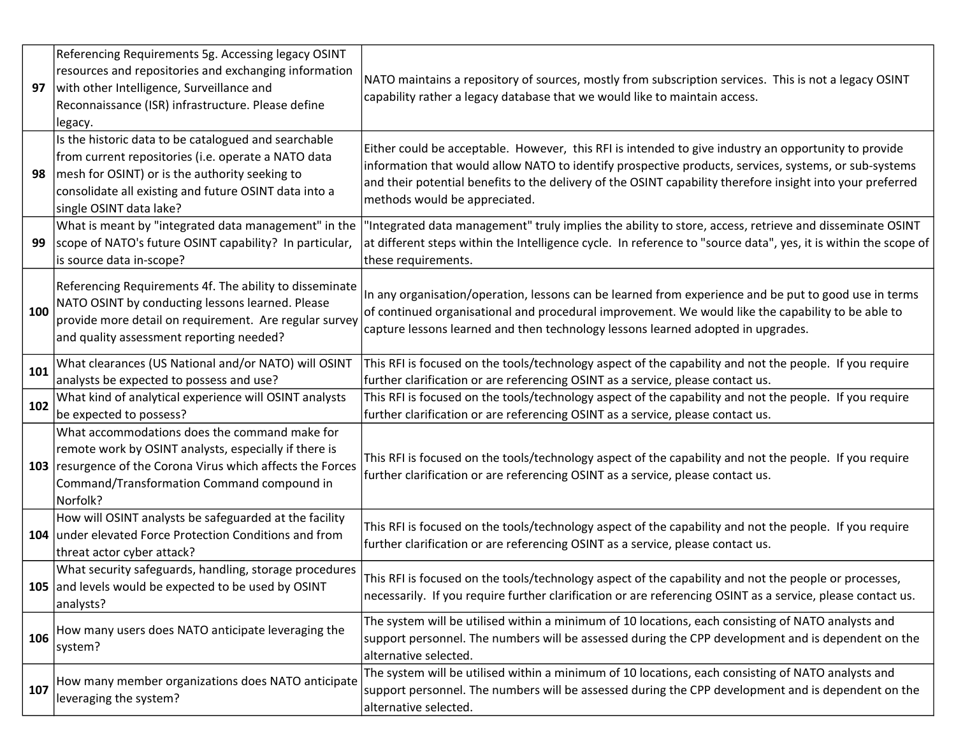| 97  | Referencing Requirements 5g. Accessing legacy OSINT<br>resources and repositories and exchanging information<br>with other Intelligence, Surveillance and<br>Reconnaissance (ISR) infrastructure. Please define<br>legacy.                        | NATO maintains a repository of sources, mostly from subscription services. This is not a legacy OSINT<br>capability rather a legacy database that we would like to maintain access.                                                                                                                                                                          |
|-----|---------------------------------------------------------------------------------------------------------------------------------------------------------------------------------------------------------------------------------------------------|--------------------------------------------------------------------------------------------------------------------------------------------------------------------------------------------------------------------------------------------------------------------------------------------------------------------------------------------------------------|
| 98  | Is the historic data to be catalogued and searchable<br>from current repositories (i.e. operate a NATO data<br>mesh for OSINT) or is the authority seeking to<br>consolidate all existing and future OSINT data into a<br>single OSINT data lake? | Either could be acceptable. However, this RFI is intended to give industry an opportunity to provide<br>information that would allow NATO to identify prospective products, services, systems, or sub-systems<br>and their potential benefits to the delivery of the OSINT capability therefore insight into your preferred<br>methods would be appreciated. |
| 99  | What is meant by "integrated data management" in the<br>scope of NATO's future OSINT capability? In particular,<br>is source data in-scope?                                                                                                       | Integrated data management" truly implies the ability to store, access, retrieve and disseminate OSINT<br>at different steps within the Intelligence cycle. In reference to "source data", yes, it is within the scope of<br>these requirements.                                                                                                             |
| 100 | Referencing Requirements 4f. The ability to disseminate<br>NATO OSINT by conducting lessons learned. Please<br>provide more detail on requirement. Are regular survey<br>and quality assessment reporting needed?                                 | In any organisation/operation, lessons can be learned from experience and be put to good use in terms<br>of continued organisational and procedural improvement. We would like the capability to be able to<br>capture lessons learned and then technology lessons learned adopted in upgrades.                                                              |
| 101 | What clearances (US National and/or NATO) will OSINT<br>analysts be expected to possess and use?                                                                                                                                                  | This RFI is focused on the tools/technology aspect of the capability and not the people. If you require<br>further clarification or are referencing OSINT as a service, please contact us.                                                                                                                                                                   |
| 102 | What kind of analytical experience will OSINT analysts<br>be expected to possess?                                                                                                                                                                 | This RFI is focused on the tools/technology aspect of the capability and not the people. If you require<br>further clarification or are referencing OSINT as a service, please contact us.                                                                                                                                                                   |
| 103 | What accommodations does the command make for<br>remote work by OSINT analysts, especially if there is<br>resurgence of the Corona Virus which affects the Forces<br>Command/Transformation Command compound in<br>Norfolk?                       | This RFI is focused on the tools/technology aspect of the capability and not the people. If you require<br>further clarification or are referencing OSINT as a service, please contact us.                                                                                                                                                                   |
|     | How will OSINT analysts be safeguarded at the facility<br>104 under elevated Force Protection Conditions and from<br>threat actor cyber attack?                                                                                                   | This RFI is focused on the tools/technology aspect of the capability and not the people. If you require<br>further clarification or are referencing OSINT as a service, please contact us.                                                                                                                                                                   |
|     | What security safeguards, handling, storage procedures<br>105 and levels would be expected to be used by OSINT<br>analysts?                                                                                                                       | This RFI is focused on the tools/technology aspect of the capability and not the people or processes,<br>necessarily. If you require further clarification or are referencing OSINT as a service, please contact us.                                                                                                                                         |
| 106 | How many users does NATO anticipate leveraging the<br>system?                                                                                                                                                                                     | The system will be utilised within a minimum of 10 locations, each consisting of NATO analysts and<br>support personnel. The numbers will be assessed during the CPP development and is dependent on the<br>alternative selected.                                                                                                                            |
| 107 | How many member organizations does NATO anticipate<br>leveraging the system?                                                                                                                                                                      | The system will be utilised within a minimum of 10 locations, each consisting of NATO analysts and<br>support personnel. The numbers will be assessed during the CPP development and is dependent on the<br>alternative selected.                                                                                                                            |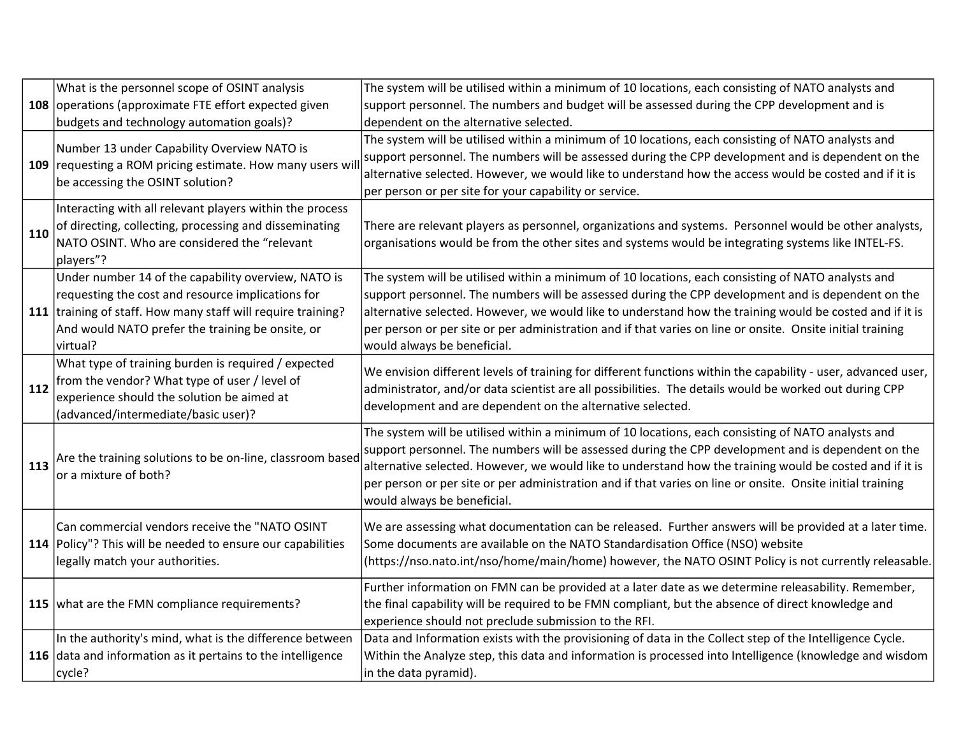|     | What is the personnel scope of OSINT analysis                                                                                               | The system will be utilised within a minimum of 10 locations, each consisting of NATO analysts and                                                                                                                                                                                                                                                                                                                                                                |
|-----|---------------------------------------------------------------------------------------------------------------------------------------------|-------------------------------------------------------------------------------------------------------------------------------------------------------------------------------------------------------------------------------------------------------------------------------------------------------------------------------------------------------------------------------------------------------------------------------------------------------------------|
|     | 108 operations (approximate FTE effort expected given                                                                                       | support personnel. The numbers and budget will be assessed during the CPP development and is                                                                                                                                                                                                                                                                                                                                                                      |
|     | budgets and technology automation goals)?                                                                                                   | dependent on the alternative selected.                                                                                                                                                                                                                                                                                                                                                                                                                            |
|     | Number 13 under Capability Overview NATO is<br>109 requesting a ROM pricing estimate. How many users wi<br>be accessing the OSINT solution? | The system will be utilised within a minimum of 10 locations, each consisting of NATO analysts and<br>support personnel. The numbers will be assessed during the CPP development and is dependent on the<br>alternative selected. However, we would like to understand how the access would be costed and if it is<br>per person or per site for your capability or service.                                                                                      |
|     | Interacting with all relevant players within the process                                                                                    |                                                                                                                                                                                                                                                                                                                                                                                                                                                                   |
| 110 | of directing, collecting, processing and disseminating                                                                                      | There are relevant players as personnel, organizations and systems. Personnel would be other analysts,                                                                                                                                                                                                                                                                                                                                                            |
|     | NATO OSINT. Who are considered the "relevant<br>players"?                                                                                   | organisations would be from the other sites and systems would be integrating systems like INTEL-FS.                                                                                                                                                                                                                                                                                                                                                               |
|     | Under number 14 of the capability overview, NATO is                                                                                         | The system will be utilised within a minimum of 10 locations, each consisting of NATO analysts and                                                                                                                                                                                                                                                                                                                                                                |
|     | requesting the cost and resource implications for                                                                                           | support personnel. The numbers will be assessed during the CPP development and is dependent on the                                                                                                                                                                                                                                                                                                                                                                |
|     | 111 training of staff. How many staff will require training?<br>And would NATO prefer the training be onsite, or                            | alternative selected. However, we would like to understand how the training would be costed and if it is<br>per person or per site or per administration and if that varies on line or onsite. Onsite initial training                                                                                                                                                                                                                                            |
|     | virtual?                                                                                                                                    | would always be beneficial.                                                                                                                                                                                                                                                                                                                                                                                                                                       |
|     | What type of training burden is required / expected                                                                                         | We envision different levels of training for different functions within the capability - user, advanced user,                                                                                                                                                                                                                                                                                                                                                     |
| 112 | from the vendor? What type of user / level of<br>experience should the solution be aimed at                                                 | administrator, and/or data scientist are all possibilities. The details would be worked out during CPP                                                                                                                                                                                                                                                                                                                                                            |
|     | (advanced/intermediate/basic user)?                                                                                                         | development and are dependent on the alternative selected.                                                                                                                                                                                                                                                                                                                                                                                                        |
| 113 | Are the training solutions to be on-line, classroom based<br>or a mixture of both?                                                          | The system will be utilised within a minimum of 10 locations, each consisting of NATO analysts and<br>support personnel. The numbers will be assessed during the CPP development and is dependent on the<br>alternative selected. However, we would like to understand how the training would be costed and if it is<br>per person or per site or per administration and if that varies on line or onsite. Onsite initial training<br>would always be beneficial. |
|     | Can commercial vendors receive the "NATO OSINT                                                                                              | We are assessing what documentation can be released. Further answers will be provided at a later time.                                                                                                                                                                                                                                                                                                                                                            |
|     | 114 Policy"? This will be needed to ensure our capabilities                                                                                 | Some documents are available on the NATO Standardisation Office (NSO) website                                                                                                                                                                                                                                                                                                                                                                                     |
|     | legally match your authorities.                                                                                                             | (https://nso.nato.int/nso/home/main/home) however, the NATO OSINT Policy is not currently releasable.                                                                                                                                                                                                                                                                                                                                                             |
|     | 115   what are the FMN compliance requirements?                                                                                             | Further information on FMN can be provided at a later date as we determine releasability. Remember,                                                                                                                                                                                                                                                                                                                                                               |
|     |                                                                                                                                             | the final capability will be required to be FMN compliant, but the absence of direct knowledge and<br>experience should not preclude submission to the RFI.                                                                                                                                                                                                                                                                                                       |
|     | In the authority's mind, what is the difference between                                                                                     | Data and Information exists with the provisioning of data in the Collect step of the Intelligence Cycle.                                                                                                                                                                                                                                                                                                                                                          |
|     | 116 data and information as it pertains to the intelligence                                                                                 | Within the Analyze step, this data and information is processed into Intelligence (knowledge and wisdom                                                                                                                                                                                                                                                                                                                                                           |
|     | cycle?                                                                                                                                      | in the data pyramid).                                                                                                                                                                                                                                                                                                                                                                                                                                             |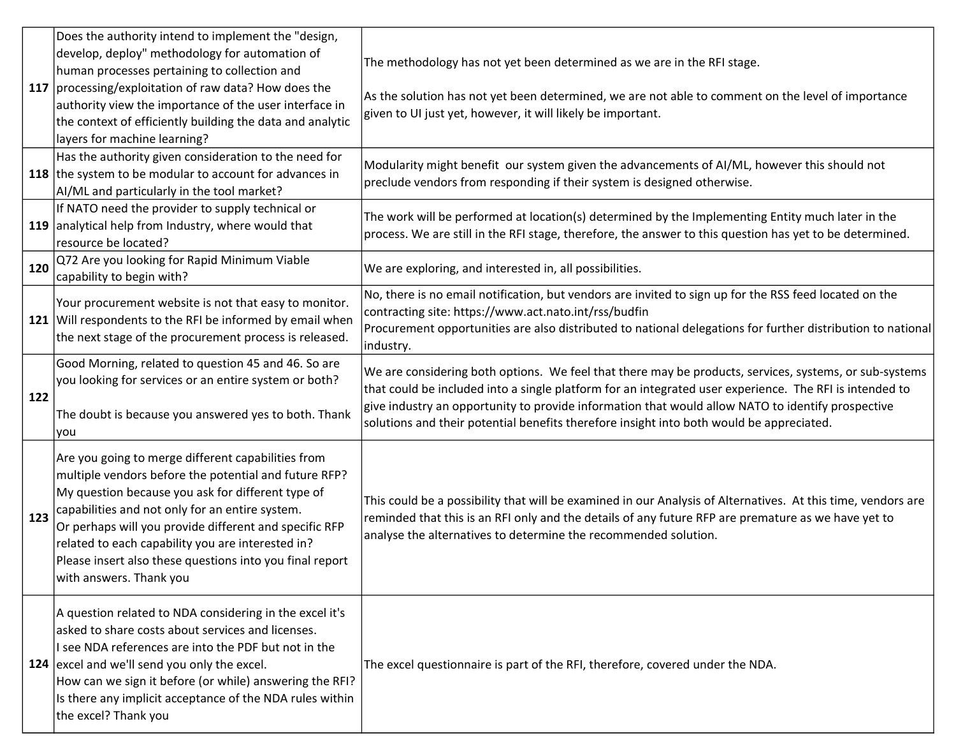|     | Does the authority intend to implement the "design,<br>develop, deploy" methodology for automation of<br>human processes pertaining to collection and<br>117   processing/exploitation of raw data? How does the<br>authority view the importance of the user interface in<br>the context of efficiently building the data and analytic<br>layers for machine learning?                                                   | The methodology has not yet been determined as we are in the RFI stage.<br>As the solution has not yet been determined, we are not able to comment on the level of importance<br>given to UI just yet, however, it will likely be important.                                                                                                                                                                       |
|-----|---------------------------------------------------------------------------------------------------------------------------------------------------------------------------------------------------------------------------------------------------------------------------------------------------------------------------------------------------------------------------------------------------------------------------|--------------------------------------------------------------------------------------------------------------------------------------------------------------------------------------------------------------------------------------------------------------------------------------------------------------------------------------------------------------------------------------------------------------------|
|     | Has the authority given consideration to the need for<br>118 the system to be modular to account for advances in<br>AI/ML and particularly in the tool market?                                                                                                                                                                                                                                                            | Modularity might benefit our system given the advancements of AI/ML, however this should not<br>preclude vendors from responding if their system is designed otherwise.                                                                                                                                                                                                                                            |
|     | If NATO need the provider to supply technical or<br>119 analytical help from Industry, where would that<br>resource be located?                                                                                                                                                                                                                                                                                           | The work will be performed at location(s) determined by the Implementing Entity much later in the<br>process. We are still in the RFI stage, therefore, the answer to this question has yet to be determined.                                                                                                                                                                                                      |
| 120 | Q72 Are you looking for Rapid Minimum Viable<br>capability to begin with?                                                                                                                                                                                                                                                                                                                                                 | We are exploring, and interested in, all possibilities.                                                                                                                                                                                                                                                                                                                                                            |
|     | Your procurement website is not that easy to monitor.<br>121 Will respondents to the RFI be informed by email when<br>the next stage of the procurement process is released.                                                                                                                                                                                                                                              | No, there is no email notification, but vendors are invited to sign up for the RSS feed located on the<br>contracting site: https://www.act.nato.int/rss/budfin<br>Procurement opportunities are also distributed to national delegations for further distribution to national<br>industry.                                                                                                                        |
| 122 | Good Morning, related to question 45 and 46. So are<br>you looking for services or an entire system or both?<br>The doubt is because you answered yes to both. Thank<br>you                                                                                                                                                                                                                                               | We are considering both options. We feel that there may be products, services, systems, or sub-systems<br>that could be included into a single platform for an integrated user experience. The RFI is intended to<br>give industry an opportunity to provide information that would allow NATO to identify prospective<br>solutions and their potential benefits therefore insight into both would be appreciated. |
| 123 | Are you going to merge different capabilities from<br>multiple vendors before the potential and future RFP?<br>My question because you ask for different type of<br>capabilities and not only for an entire system.<br>Or perhaps will you provide different and specific RFP<br>related to each capability you are interested in?<br>Please insert also these questions into you final report<br>with answers. Thank you | This could be a possibility that will be examined in our Analysis of Alternatives. At this time, vendors are<br>reminded that this is an RFI only and the details of any future RFP are premature as we have yet to<br>analyse the alternatives to determine the recommended solution.                                                                                                                             |
|     | A question related to NDA considering in the excel it's<br>asked to share costs about services and licenses.<br>I see NDA references are into the PDF but not in the<br>124 excel and we'll send you only the excel.<br>How can we sign it before (or while) answering the RFI?<br>Is there any implicit acceptance of the NDA rules within<br>the excel? Thank you                                                       | The excel questionnaire is part of the RFI, therefore, covered under the NDA.                                                                                                                                                                                                                                                                                                                                      |